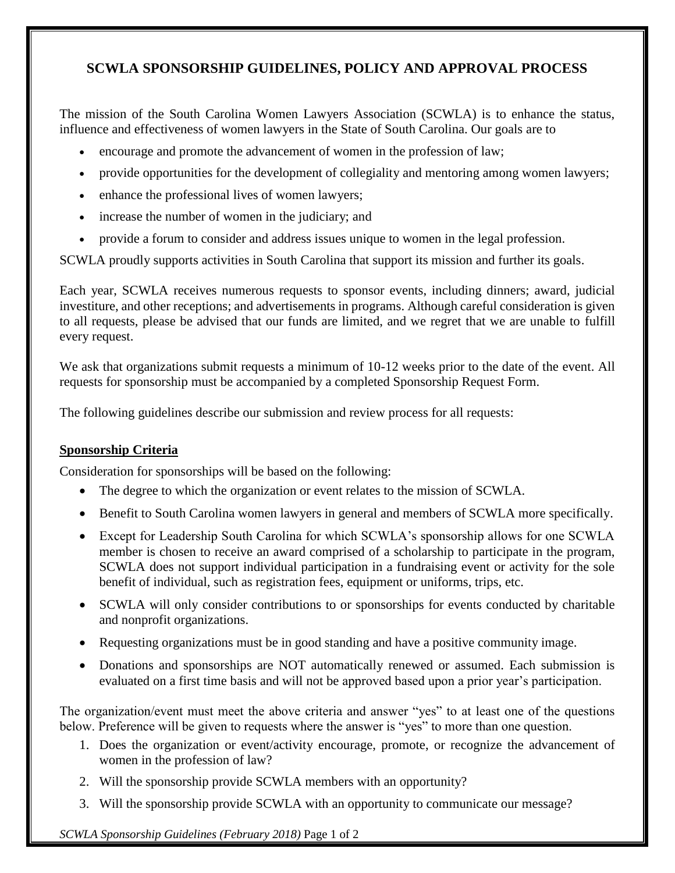## **SCWLA SPONSORSHIP GUIDELINES, POLICY AND APPROVAL PROCESS**

The mission of the South Carolina Women Lawyers Association (SCWLA) is to enhance the status, influence and effectiveness of women lawyers in the State of South Carolina. Our goals are to

- encourage and promote the advancement of women in the profession of law;
- provide opportunities for the development of collegiality and mentoring among women lawyers;
- enhance the professional lives of women lawyers;
- increase the number of women in the judiciary; and
- provide a forum to consider and address issues unique to women in the legal profession.

SCWLA proudly supports activities in South Carolina that support its mission and further its goals.

Each year, SCWLA receives numerous requests to sponsor events, including dinners; award, judicial investiture, and other receptions; and advertisements in programs. Although careful consideration is given to all requests, please be advised that our funds are limited, and we regret that we are unable to fulfill every request.

We ask that organizations submit requests a minimum of 10-12 weeks prior to the date of the event. All requests for sponsorship must be accompanied by a completed Sponsorship Request Form.

The following guidelines describe our submission and review process for all requests:

## **Sponsorship Criteria**

Consideration for sponsorships will be based on the following:

- The degree to which the organization or event relates to the mission of SCWLA.
- Benefit to South Carolina women lawyers in general and members of SCWLA more specifically.
- Except for Leadership South Carolina for which SCWLA's sponsorship allows for one SCWLA member is chosen to receive an award comprised of a scholarship to participate in the program, SCWLA does not support individual participation in a fundraising event or activity for the sole benefit of individual, such as registration fees, equipment or uniforms, trips, etc.
- SCWLA will only consider contributions to or sponsorships for events conducted by charitable and nonprofit organizations.
- Requesting organizations must be in good standing and have a positive community image.
- Donations and sponsorships are NOT automatically renewed or assumed. Each submission is evaluated on a first time basis and will not be approved based upon a prior year's participation.

The organization/event must meet the above criteria and answer "yes" to at least one of the questions below. Preference will be given to requests where the answer is "yes" to more than one question.

- 1. Does the organization or event/activity encourage, promote, or recognize the advancement of women in the profession of law?
- 2. Will the sponsorship provide SCWLA members with an opportunity?
- 3. Will the sponsorship provide SCWLA with an opportunity to communicate our message?

*SCWLA Sponsorship Guidelines (February 2018)* Page 1 of 2